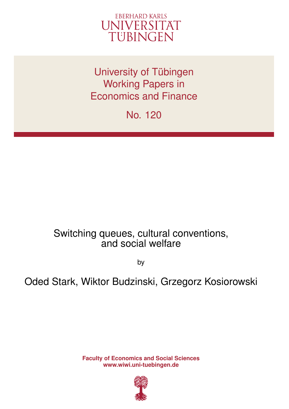

University of Tübingen Working Papers in Economics and Finance

No. 120

# Switching queues, cultural conventions, and social welfare

by

Oded Stark, Wiktor Budzinski, Grzegorz Kosiorowski

**Faculty of Economics and Social Sciences www.wiwi.uni-tuebingen.de**

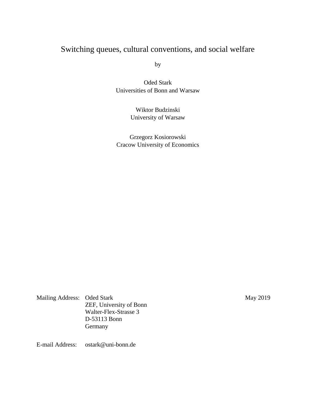# Switching queues, cultural conventions, and social welfare

by

Oded Stark Universities of Bonn and Warsaw

> Wiktor Budzinski University of Warsaw

Grzegorz Kosiorowski Cracow University of Economics

Mailing Address: Oded Stark May 2019 ZEF, University of Bonn Walter-Flex-Strasse 3 D-53113 Bonn Germany

E-mail Address: [ostark@uni-bonn.de](mailto:ostark@uni-bonn.de)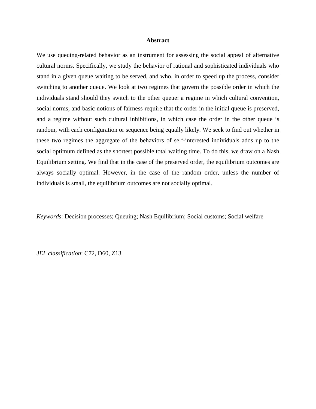#### **Abstract**

We use queuing-related behavior as an instrument for assessing the social appeal of alternative cultural norms. Specifically, we study the behavior of rational and sophisticated individuals who stand in a given queue waiting to be served, and who, in order to speed up the process, consider switching to another queue. We look at two regimes that govern the possible order in which the individuals stand should they switch to the other queue: a regime in which cultural convention, social norms, and basic notions of fairness require that the order in the initial queue is preserved, and a regime without such cultural inhibitions, in which case the order in the other queue is random, with each configuration or sequence being equally likely. We seek to find out whether in these two regimes the aggregate of the behaviors of self-interested individuals adds up to the social optimum defined as the shortest possible total waiting time. To do this, we draw on a Nash Equilibrium setting. We find that in the case of the preserved order, the equilibrium outcomes are always socially optimal. However, in the case of the random order, unless the number of individuals is small, the equilibrium outcomes are not socially optimal.

*Keywords*: Decision processes; Queuing; Nash Equilibrium; Social customs; Social welfare

*JEL classification*: C72, D60, Z13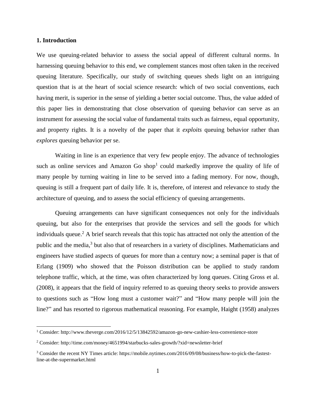## **1. Introduction**

 $\overline{a}$ 

We use queuing-related behavior to assess the social appeal of different cultural norms. In harnessing queuing behavior to this end, we complement stances most often taken in the received queuing literature. Specifically, our study of switching queues sheds light on an intriguing question that is at the heart of social science research: which of two social conventions, each having merit, is superior in the sense of yielding a better social outcome. Thus, the value added of this paper lies in demonstrating that close observation of queuing behavior can serve as an instrument for assessing the social value of fundamental traits such as fairness, equal opportunity, and property rights. It is a novelty of the paper that it *exploits* queuing behavior rather than *explores* queuing behavior per se.

Waiting in line is an experience that very few people enjoy. The advance of technologies such as online services and Amazon Go shop<sup>1</sup> could markedly improve the quality of life of many people by turning waiting in line to be served into a fading memory. For now, though, queuing is still a frequent part of daily life. It is, therefore, of interest and relevance to study the architecture of queuing, and to assess the social efficiency of queuing arrangements.

Queuing arrangements can have significant consequences not only for the individuals queuing, but also for the enterprises that provide the services and sell the goods for which individuals queue. <sup>2</sup> A brief search reveals that this topic has attracted not only the attention of the public and the media,<sup>3</sup> but also that of researchers in a variety of disciplines. Mathematicians and engineers have studied aspects of queues for more than a century now; a seminal paper is that of Erlang (1909) who showed that the Poisson distribution can be applied to study random telephone traffic, which, at the time, was often characterized by long queues. Citing Gross et al. (2008), it appears that the field of inquiry referred to as queuing theory seeks to provide answers to questions such as "How long must a customer wait?" and "How many people will join the line?" and has resorted to rigorous mathematical reasoning. For example, Haight (1958) analyzes

<sup>&</sup>lt;sup>1</sup> Consider: http://www.theverge.com/2016/12/5/13842592/amazon-go-new-cashier-less-convenience-store

<sup>&</sup>lt;sup>2</sup> Consider: http://time.com/money/4651994/starbucks-sales-growth/?xid=newsletter-brief

<sup>3</sup> Consider the recent NY Times article: https://mobile.nytimes.com/2016/09/08/business/how-to-pick-the-fastestline-at-the-supermarket.html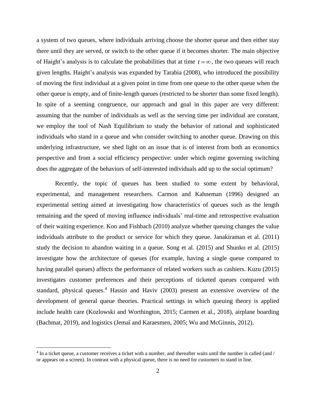a system of two queues, where individuals arriving choose the shorter queue and then either stay there until they are served, or switch to the other queue if it becomes shorter. The main objective of Haight's analysis is to calculate the probabilities that at time  $t = \infty$ , the two queues will reach given lengths. Haight's analysis was expanded by Tarabia (2008), who introduced the possibility of moving the first individual at a given point in time from one queue to the other queue when the other queue is empty, and of finite-length queues (restricted to be shorter than some fixed length). In spite of a seeming congruence, our approach and goal in this paper are very different: assuming that the number of individuals as well as the serving time per individual are constant, we employ the tool of Nash Equilibrium to study the behavior of rational and sophisticated individuals who stand in a queue and who consider switching to another queue. Drawing on this underlying infrastructure, we shed light on an issue that is of interest from both an economics perspective and from a social efficiency perspective: under which regime governing switching does the aggregate of the behaviors of self-interested individuals add up to the social optimum?

Recently, the topic of queues has been studied to some extent by behavioral, experimental, and management researchers. Carmon and Kahneman (1996) designed an experimental setting aimed at investigating how characteristics of queues such as the length remaining and the speed of moving influence individuals' real-time and retrospective evaluation of their waiting experience. Koo and Fishbach (2010) analyze whether queuing changes the value individuals attribute to the product or service for which they queue. Janakiraman et al. (2011) study the decision to abandon waiting in a queue. Song et al. (2015) and Shunko et al. (2015) investigate how the architecture of queues (for example, having a single queue compared to having parallel queues) affects the performance of related workers such as cashiers. Kuzu (2015) investigates customer preferences and their perceptions of ticketed queues compared with standard, physical queues.<sup>4</sup> Hassin and Haviv (2003) present an extensive overview of the development of general queue theories. Practical settings in which queuing theory is applied include health care (Kozlowski and Worthington, 2015; Carmen et al., 2018), airplane boarding (Bachmat, 2019), and logistics (Jemaı̈ and Karaesmen, 2005; Wu and McGinnis, 2012).

 $\overline{a}$ 

<sup>4</sup> In a ticket queue, a customer receives a ticket with a number, and thereafter waits until the number is called (and / or appears on a screen). In contrast with a physical queue, there is no need for customers to stand in line.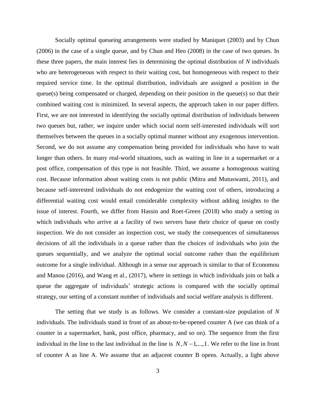Socially optimal queueing arrangements were studied by Maniquet (2003) and by Chun (2006) in the case of a single queue, and by Chun and Heo (2008) in the case of two queues. In these three papers, the main interest lies in determining the optimal distribution of *N* individuals who are heterogeneous with respect to their waiting cost, but homogeneous with respect to their required service time. In the optimal distribution, individuals are assigned a position in the queue(s) being compensated or charged, depending on their position in the queue(s) so that their combined waiting cost is minimized. In several aspects, the approach taken in our paper differs. First, we are not interested in identifying the socially optimal distribution of individuals between two queues but, rather, we inquire under which social norm self-interested individuals will sort themselves between the queues in a socially optimal manner without any exogenous intervention. Second, we do not assume any compensation being provided for individuals who have to wait longer than others. In many real-world situations, such as waiting in line in a supermarket or a post office, compensation of this type is not feasible. Third, we assume a homogenous waiting cost. Because information about waiting costs is not public (Mitra and Mutuswami, 2011), and because self-interested individuals do not endogenize the waiting cost of others, introducing a differential waiting cost would entail considerable complexity without adding insights to the issue of interest. Fourth, we differ from Hassin and Roet-Green (2018) who study a setting in which individuals who arrive at a facility of two servers base their choice of queue on costly inspection. We do not consider an inspection cost, we study the consequences of simultaneous decisions of all the individuals in a queue rather than the choices of individuals who join the queues sequentially, and we analyze the optimal social outcome rather than the equilibrium outcome for a single individual. Although in a sense our approach is similar to that of Economou and Manou (2016), and Wang et al., (2017), where in settings in which individuals join or balk a queue the aggregate of individuals' strategic actions is compared with the socially optimal strategy, our setting of a constant number of individuals and social welfare analysis is different.

The setting that we study is as follows. We consider a constant-size population of *N* individuals. The individuals stand in front of an about-to-be-opened counter A (we can think of a counter in a supermarket, bank, post office, pharmacy, and so on). The sequence from the first individual in the line to the last individual in the line is  $N, N-1, ..., 1$ . We refer to the line in front of counter A as line A. We assume that an adjacent counter B opens. Actually, a light above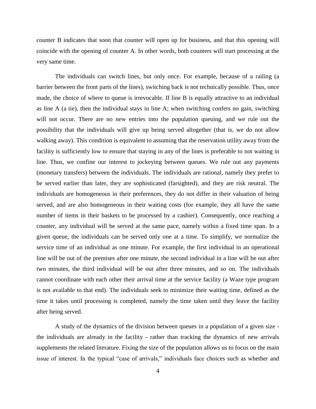counter B indicates that soon that counter will open up for business, and that this opening will coincide with the opening of counter A. In other words, both counters will start processing at the very same time.

The individuals can switch lines, but only once. For example, because of a railing (a barrier between the front parts of the lines), switching back is not technically possible. Thus, once made, the choice of where to queue is irrevocable. If line B is equally attractive to an individual as line A (a tie), then the individual stays in line A; when switching confers no gain, switching will not occur. There are no new entries into the population queuing, and we rule out the possibility that the individuals will give up being served altogether (that is, we do not allow walking away). This condition is equivalent to assuming that the reservation utility away from the facility is sufficiently low to ensure that staying in any of the lines is preferable to not waiting in line. Thus, we confine our interest to jockeying between queues. We rule out any payments (monetary transfers) between the individuals. The individuals are rational, namely they prefer to be served earlier than later, they are sophisticated (farsighted), and they are risk neutral. The individuals are homogeneous in their preferences, they do not differ in their valuation of being served, and are also homogeneous in their waiting costs (for example, they all have the same number of items in their baskets to be processed by a cashier). Consequently, once reaching a counter, any individual will be served at the same pace, namely within a fixed time span. In a given queue, the individuals can be served only one at a time. To simplify, we normalize the service time of an individual as one minute. For example, the first individual in an operational line will be out of the premises after one minute, the second individual in a line will be out after two minutes, the third individual will be out after three minutes, and so on. The individuals cannot coordinate with each other their arrival time at the service facility (a Waze type program is not available to that end). The individuals seek to minimize their waiting time, defined as the time it takes until processing is completed, namely the time taken until they leave the facility after being served.

A study of the dynamics of the division between queues in a population of a given size the individuals are already in the facility - rather than tracking the dynamics of new arrivals supplements the related literature. Fixing the size of the population allows us to focus on the main issue of interest. In the typical "case of arrivals," individuals face choices such as whether and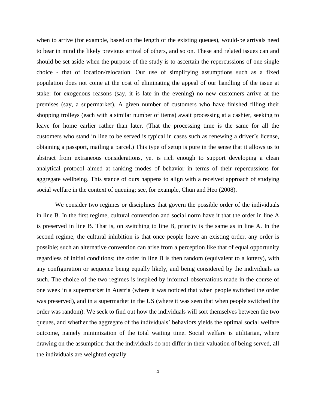when to arrive (for example, based on the length of the existing queues), would-be arrivals need to bear in mind the likely previous arrival of others, and so on. These and related issues can and should be set aside when the purpose of the study is to ascertain the repercussions of one single choice - that of location/relocation. Our use of simplifying assumptions such as a fixed population does not come at the cost of eliminating the appeal of our handling of the issue at stake: for exogenous reasons (say, it is late in the evening) no new customers arrive at the premises (say, a supermarket). A given number of customers who have finished filling their shopping trolleys (each with a similar number of items) await processing at a cashier, seeking to leave for home earlier rather than later. (That the processing time is the same for all the customers who stand in line to be served is typical in cases such as renewing a driver's license, obtaining a passport, mailing a parcel.) This type of setup is pure in the sense that it allows us to abstract from extraneous considerations, yet is rich enough to support developing a clean analytical protocol aimed at ranking modes of behavior in terms of their repercussions for aggregate wellbeing. This stance of ours happens to align with a received approach of studying social welfare in the context of queuing; see, for example, Chun and Heo (2008).

We consider two regimes or disciplines that govern the possible order of the individuals in line B. In the first regime, cultural convention and social norm have it that the order in line A is preserved in line B. That is, on switching to line B, priority is the same as in line A. In the second regime, the cultural inhibition is that once people leave an existing order, any order is possible; such an alternative convention can arise from a perception like that of equal opportunity regardless of initial conditions; the order in line B is then random (equivalent to a lottery), with any configuration or sequence being equally likely, and being considered by the individuals as such. The choice of the two regimes is inspired by informal observations made in the course of one week in a supermarket in Austria (where it was noticed that when people switched the order was preserved), and in a supermarket in the US (where it was seen that when people switched the order was random). We seek to find out how the individuals will sort themselves between the two queues, and whether the aggregate of the individuals' behaviors yields the optimal social welfare outcome, namely minimization of the total waiting time. Social welfare is utilitarian, where drawing on the assumption that the individuals do not differ in their valuation of being served, all the individuals are weighted equally.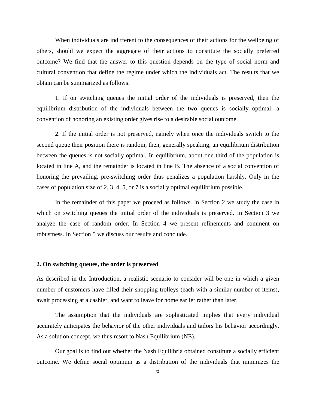When individuals are indifferent to the consequences of their actions for the wellbeing of others, should we expect the aggregate of their actions to constitute the socially preferred outcome? We find that the answer to this question depends on the type of social norm and cultural convention that define the regime under which the individuals act. The results that we obtain can be summarized as follows.

1. If on switching queues the initial order of the individuals is preserved, then the equilibrium distribution of the individuals between the two queues is socially optimal: a convention of honoring an existing order gives rise to a desirable social outcome.

2. If the initial order is not preserved, namely when once the individuals switch to the second queue their position there is random, then, generally speaking, an equilibrium distribution between the queues is not socially optimal. In equilibrium, about one third of the population is located in line A, and the remainder is located in line B. The absence of a social convention of honoring the prevailing, pre-switching order thus penalizes a population harshly. Only in the cases of population size of 2, 3, 4, 5, or 7 is a socially optimal equilibrium possible.

In the remainder of this paper we proceed as follows. In Section 2 we study the case in which on switching queues the initial order of the individuals is preserved. In Section 3 we analyze the case of random order. In Section 4 we present refinements and comment on robustness. In Section 5 we discuss our results and conclude.

# **2. On switching queues, the order is preserved**

As described in the Introduction, a realistic scenario to consider will be one in which a given number of customers have filled their shopping trolleys (each with a similar number of items), await processing at a cashier, and want to leave for home earlier rather than later.

The assumption that the individuals are sophisticated implies that every individual accurately anticipates the behavior of the other individuals and tailors his behavior accordingly. As a solution concept, we thus resort to Nash Equilibrium (NE).

Our goal is to find out whether the Nash Equilibria obtained constitute a socially efficient outcome. We define social optimum as a distribution of the individuals that minimizes the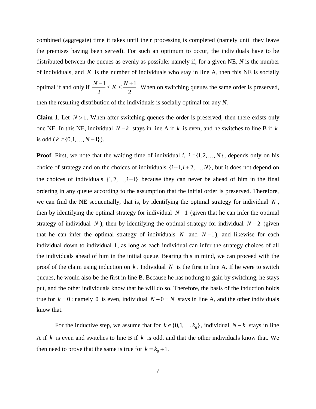combined (aggregate) time it takes until their processing is completed (namely until they leave the premises having been served). For such an optimum to occur, the individuals have to be distributed between the queues as evenly as possible: namely if, for a given NE, *N* is the number of individuals, and  $K$  is the number of individuals who stay in line A, then this NE is socially optimal if and only if  $\frac{N-1}{N} \leq K \leq \frac{N+1}{N}$  $\frac{2}{2}$   $\geq$   $\frac{1}{2}$  $\frac{N-1}{2} \le K \le \frac{N+1}{2}$ . When on switching queues the same order is preserved, then the resulting distribution of the individuals is socially optimal for any *N*.

**Claim 1.** Let  $N > 1$ . When after switching queues the order is preserved, then there exists only one NE. In this NE, individual  $N-k$  stays in line A if k is even, and he switches to line B if k is odd ( $k \in \{0, 1, ..., N-1\}$ ).

**Proof**. First, we note that the waiting time of individual *i*,  $i \in \{1, 2, ..., N\}$ , depends only on his choice of strategy and on the choices of individuals  $\{i+1, i+2,..., N\}$ , but it does not depend on the choices of individuals  $\{1, 2, \ldots, i-1\}$  because they can never be ahead of him in the final ordering in any queue according to the assumption that the initial order is preserved. Therefore, we can find the NE sequentially, that is, by identifying the optimal strategy for individual *N* , then by identifying the optimal strategy for individual  $N-1$  (given that he can infer the optimal strategy of individual N, then by identifying the optimal strategy for individual  $N-2$  (given that he can infer the optimal strategy of individuals  $N$  and  $N-1$ ), and likewise for each individual down to individual 1 , as long as each individual can infer the strategy choices of all the individuals ahead of him in the initial queue. Bearing this in mind, we can proceed with the proof of the claim using induction on  $k$ . Individual  $N$  is the first in line A. If he were to switch queues, he would also be the first in line B. Because he has nothing to gain by switching, he stays put, and the other individuals know that he will do so. Therefore, the basis of the induction holds true for  $k = 0$ : namely 0 is even, individual  $N - 0 = N$  stays in line A, and the other individuals know that.

For the inductive step, we assume that for  $k \in \{0, 1, ..., k_0\}$ , individual  $N - k$  stays in line A if *k* is even and switches to line B if *k* is odd, and that the other individuals know that. We then need to prove that the same is true for  $k = k_0 + 1$ .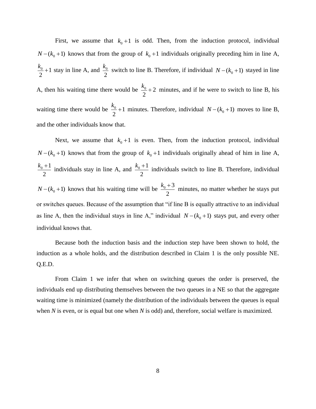First, we assume that  $k_0 + 1$  is odd. Then, from the induction protocol, individual  $N - (k_0 + 1)$  knows that from the group of  $k_0 + 1$  individuals originally preceding him in line A,  $\frac{0}{2} + 1$ 2  $\frac{k_0}{2}$  +1 stay in line A, and  $\frac{k_0}{2}$ 2  $\frac{k_0}{2}$  switch to line B. Therefore, if individual  $N - (k_0 + 1)$  stayed in line A, then his waiting time there would be  $\frac{k_0}{2} + 2$ 2  $\frac{k_0}{s}$  + 2 minutes, and if he were to switch to line B, his waiting time there would be  $\frac{k_0}{2}+1$ 2  $\frac{k_0}{2}$  +1 minutes. Therefore, individual  $N - (k_0 + 1)$  moves to line B, and the other individuals know that.

Next, we assume that  $k_0 + 1$  is even. Then, from the induction protocol, individual  $N - (k_0 + 1)$  knows that from the group of  $k_0 + 1$  individuals originally ahead of him in line A,  $_0 + 1$ 2  $\frac{k_0+1}{2}$  individuals stay in line A, and  $\frac{k_0+1}{2}$ 2  $\frac{k_0+1}{k_0+1}$  individuals switch to line B. Therefore, individual  $N - (k_0 + 1)$  knows that his waiting time will be  $\frac{k_0 + 3}{2}$ 2  $\frac{k_0+3}{k_0+3}$  minutes, no matter whether he stays put or switches queues. Because of the assumption that "if line B is equally attractive to an individual as line A, then the individual stays in line A," individual  $N - (k_0 + 1)$  stays put, and every other individual knows that.

Because both the induction basis and the induction step have been shown to hold, the induction as a whole holds, and the distribution described in Claim 1 is the only possible NE. Q.E.D.

From Claim 1 we infer that when on switching queues the order is preserved, the individuals end up distributing themselves between the two queues in a NE so that the aggregate waiting time is minimized (namely the distribution of the individuals between the queues is equal when *N* is even, or is equal but one when *N* is odd) and, therefore, social welfare is maximized.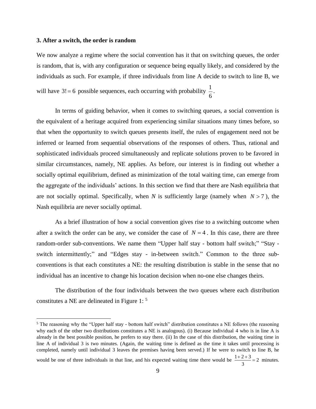#### **3. After a switch, the order is random**

 $\overline{a}$ 

We now analyze a regime where the social convention has it that on switching queues, the order is random, that is, with any configuration or sequence being equally likely, and considered by the individuals as such. For example, if three individuals from line A decide to switch to line B, we will have 3!=6 possible sequences, each occurring with probability  $\frac{1}{x}$ 6 .

In terms of guiding behavior, when it comes to switching queues, a social convention is the equivalent of a heritage acquired from experiencing similar situations many times before, so that when the opportunity to switch queues presents itself, the rules of engagement need not be inferred or learned from sequential observations of the responses of others. Thus, rational and sophisticated individuals proceed simultaneously and replicate solutions proven to be favored in similar circumstances, namely, NE applies. As before, our interest is in finding out whether a socially optimal equilibrium, defined as minimization of the total waiting time, can emerge from the aggregate of the individuals' actions. In this section we find that there are Nash equilibria that are not socially optimal. Specifically, when  $N$  is sufficiently large (namely when  $N > 7$ ), the Nash equilibria are never socially optimal.

As a brief illustration of how a social convention gives rise to a switching outcome when after a switch the order can be any, we consider the case of  $N = 4$ . In this case, there are three random-order sub-conventions. We name them "Upper half stay - bottom half switch;" "Stay switch intermittently;" and "Edges stay - in-between switch." Common to the three subconventions is that each constitutes a NE: the resulting distribution is stable in the sense that no individual has an incentive to change his location decision when no-one else changes theirs.

The distribution of the four individuals between the two queues where each distribution constitutes a NE are delineated in Figure 1: <sup>5</sup>

<sup>&</sup>lt;sup>5</sup> The reasoning why the "Upper half stay - bottom half switch" distribution constitutes a NE follows (the reasoning why each of the other two distributions constitutes a NE is analogous). (i) Because individual 4 who is in line A is already in the best possible position, he prefers to stay there. (ii) In the case of this distribution, the waiting time in line A of individual 3 is two minutes. (Again, the waiting time is defined as the time it takes until processing is completed, namely until individual 3 leaves the premises having been served.) If he were to switch to line B, he

would be one of three individuals in that line, and his expected waiting time there would be  $\frac{1+2+3}{3} = 2$  $\frac{+2+3}{2}$  = 2 minutes.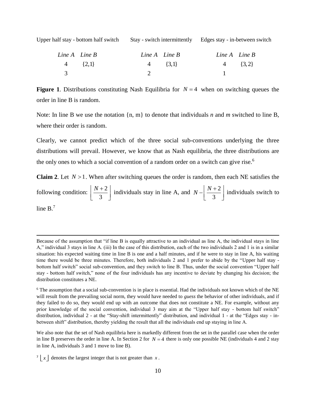Upper half stay - bottom half switch Stay - switch intermittently Edges stay - in-between switch

| $Line\ A$ Line B | Line $A$ Line $B$ |           | Line $A$ Line $B$ |           |
|------------------|-------------------|-----------|-------------------|-----------|
| $\{2,1\}$        |                   | $\{3,1\}$ |                   | $\{3,2\}$ |
|                  |                   |           |                   |           |

**Figure 1.** Distributions constituting Nash Equilibria for  $N = 4$  when on switching queues the order in line B is random.

Note: In line B we use the notation {n, m} to denote that individuals *n* and *m* switched to line B, where their order is random.

Clearly, we cannot predict which of the three social sub-conventions underlying the three distributions will prevail. However, we know that as Nash equilibria, the three distributions are the only ones to which a social convention of a random order on a switch can give rise.<sup>6</sup>

**Claim 2.** Let  $N > 1$ . When after switching queues the order is random, then each NE satisfies the

following condition: 
$$
\left\lfloor \frac{N+2}{3} \right\rfloor
$$
 individuals stay in line A, and  $N - \left\lfloor \frac{N+2}{3} \right\rfloor$  individuals switch to  
line B<sup>7</sup>

line B.<sup>7</sup>

 $\overline{a}$ 

Because of the assumption that "if line B is equally attractive to an individual as line A, the individual stays in line A," individual 3 stays in line A. (iii) In the case of this distribution, each of the two individuals 2 and 1 is in a similar situation: his expected waiting time in line B is one and a half minutes, and if he were to stay in line A, his waiting time there would be three minutes. Therefore, both individuals 2 and 1 prefer to abide by the "Upper half stay bottom half switch" social sub-convention, and they switch to line B. Thus, under the social convention "Upper half stay - bottom half switch," none of the four individuals has any incentive to deviate by changing his decision; the distribution constitutes a NE.

<sup>&</sup>lt;sup>6</sup> The assumption that a social sub-convention is in place is essential. Had the individuals not known which of the NE will result from the prevailing social norm, they would have needed to *guess* the behavior of other individuals, and if they failed to do so, they would end up with an outcome that does not constitute a NE. For example, without any prior knowledge of the social convention, individual 3 may aim at the "Upper half stay - bottom half switch" distribution, individual 2 - at the "Stay-shift intermittently" distribution, and individual 1 - at the "Edges stay - inbetween shift" distribution, thereby yielding the result that all the individuals end up staying in line A.

We also note that the set of Nash equilibria here is markedly different from the set in the parallel case when the order in line B preserves the order in line A. In Section 2 for  $N = 4$  there is only one possible NE (individuals 4 and 2 stay in line A, individuals 3 and 1 move to line B).

<sup>&</sup>lt;sup>7</sup>  $\lfloor x \rfloor$  denotes the largest integer that is not greater than *x*.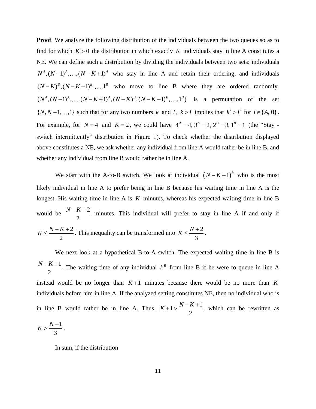**Proof.** We analyze the following distribution of the individuals between the two queues so as to find for which  $K > 0$  the distribution in which exactly K individuals stay in line A constitutes a NE. We can define such a distribution by dividing the individuals between two sets: individuals  $N^A$ ,  $(N-1)^A$ , ...,  $(N-K+1)^A$  who stay in line A and retain their ordering, and individuals  $(N - K)^B$ ,  $(N - K - 1)^B$ , ...,  $1^B$  who move to line B where they are ordered randomly.<br>  $(N^A, (N - 1)^A, ..., (N - K + 1)^A, (N - K)^B, (N - K - 1)^B, ..., 1^B)$  is a permutation of the set  $(N^A, (N-1)^A, ..., (N-K+1)^A, (N-K)^B, (N-K-1)^B, ..., 1^B)$  is a permutation of the set  $\{N, N-1, \ldots, 1\}$  such that for any two numbers k and l,  $k > l$  implies that  $k^i > l^i$  for  $i \in \{A, B\}$ . For example, for  $N = 4$  and  $K = 2$ , we could have  $4^A = 4$ ,  $3^A = 2$ ,  $2^B = 3$ ,  $1^B = 1$  (the "Stay switch intermittently" distribution in Figure 1). To check whether the distribution displayed above constitutes a NE, we ask whether any individual from line A would rather be in line B, and whether any individual from line B would rather be in line A.

We start with the A-to-B switch. We look at individual  $(N - K + 1)^A$  who is the most likely individual in line A to prefer being in line B because his waiting time in line A is the longest. His waiting time in line A is K minutes, whereas his expected waiting time in line B would be  $\frac{N-K+2}{\cdot}$ 2  $\frac{N-K+2}{N-K+2}$  minutes. This individual will prefer to stay in line A if and only if 2 2  $K \leq \frac{N-K+2}{2}$ . This inequality can be transformed into  $K \leq \frac{N+2}{2}$ 3  $K \leq \frac{N+2}{2}$ .

We next look at a hypothetical B-to-A switch. The expected waiting time in line B is 1 2  $\frac{N-K+1}{K}$ . The waiting time of any individual  $k^B$  from line B if he were to queue in line A instead would be no longer than  $K+1$  minutes because there would be no more than K individuals before him in line A. If the analyzed setting constitutes NE, then no individual who is in line B would rather be in line A. Thus,  $K+1 > \frac{N-K+1}{N}$ 2  $K+1 > \frac{N-K+1}{2}$ , which can be rewritten as 1  $K > \frac{N-1}{2}$ .

In sum, if the distribution

3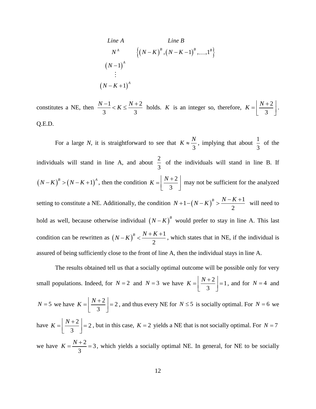Line A  
\n
$$
N^A
$$
 { $(N-K)^B$ ,  $(N-K-1)^B$ ,..., $1^B$ }  
\n $(N-1)^A$   
\n:  
\n $(N-K+1)^A$ 

constitutes a NE, then  $\frac{N-1}{2} < K \le \frac{N+2}{2}$  $\frac{3}{3}$   $\lt$   $\frac{\ltimes}{3}$  $\frac{N-1}{2} < K \leq \frac{N+2}{2}$  holds. *K* is an integer so, therefore,  $K = \frac{N+2}{2}$ 3  $K = \left\lfloor \frac{N+2}{3} \right\rfloor$ . Q.E.D.

For a large *N*, it is straightforward to see that 3  $K \approx \frac{N}{2}$ , implying that about  $\frac{1}{2}$ 3 of the individuals will stand in line A, and about  $\frac{2}{3}$ 3 of the individuals will stand in line B. If  $(N-K)^{B}$  >  $(N-K+1)^{A}$ , then the condition  $K = \frac{N+2}{2}$ 3  $K = \left\lfloor \frac{N+2}{3} \right\rfloor$  may not be sufficient for the analyzed setting to constitute a NE. Additionally, the condition  $N+1-(N-K)$  $1-(N-K)^B > \frac{N-K+1}{2}$  $N+1-(N-K)^B > \frac{N-K+1}{2}$  will need to hold as well, because otherwise individual  $(N - K)^B$  would prefer to stay in line A. This last condition can be rewritten as  $(N-K)^{2}$ 1 2  $(B - K)^B < \frac{N + K + 1}{2}$ , which states that in NE, if the individual is assured of being sufficiently close to the front of line A, then the individual stays in line A.

The results obtained tell us that a socially optimal outcome will be possible only for very small populations. Indeed, for  $N = 2$  and  $N = 3$  we have  $K = \left| \frac{N+2}{N-2} \right| = 1$ 3  $K = \left\lfloor \frac{N+2}{3} \right\rfloor = 1$ , and for  $N = 4$  and  $N = 5$  we have  $K = \left| \frac{N+2}{2} \right| = 2$ 3  $K = \left\lfloor \frac{N+2}{3} \right\rfloor = 2$ , and thus every NE for  $N \le 5$  is socially optimal. For  $N = 6$  we have  $K = \left| \frac{N+2}{2} \right| = 2$ 3  $K = \left\lfloor \frac{N+2}{3} \right\rfloor = 2$ , but in this case,  $K = 2$  yields a NE that is not socially optimal. For  $N = 7$ we have  $K = \frac{N+2}{2} = 3$ 3  $K = \frac{N+2}{2} = 3$ , which yields a socially optimal NE. In general, for NE to be socially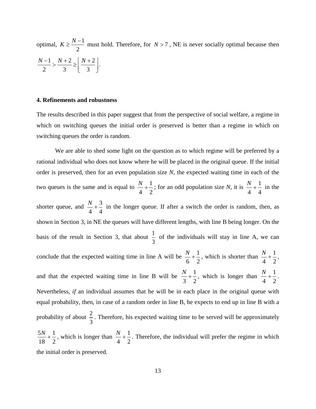optimal,  $K \geq \frac{N-1}{2}$ 2  $K \geq \frac{N-1}{2}$  must hold. Therefore, for  $N > 7$ , NE is never socially optimal because then 2 3 1 2 2 3  $N-1$   $N+2$   $N+2$  $rac{+2}{3} \ge \left\lfloor \frac{N+2}{3} \right\rfloor.$ 」  $\frac{1}{2} \sum_{i=1}^{N} \frac{1}{i} \sum_{i=1}^{N} \left| \frac{1}{i} \right|^{2}$ 

#### **4. Refinements and robustness**

The results described in this paper suggest that from the perspective of social welfare, a regime in which on switching queues the initial order is preserved is better than a regime in which on switching queues the order is random.

We are able to shed some light on the question as to which regime will be preferred by a rational individual who does not know where he will be placed in the original queue. If the initial order is preserved, then for an even population size *N*, the expected waiting time in each of the two queues is the same and is equal to  $\frac{N}{1} + \frac{1}{2}$ 4 2  $\frac{N}{N} + \frac{1}{n}$ ; for an odd population size *N*, it is  $\frac{N}{N} + \frac{1}{n}$ 4 4  $\frac{N}{i} + \frac{1}{i}$  in the shorter queue, and  $\frac{N}{1} + \frac{3}{1}$ 4 4  $\frac{N}{1}$  +  $\frac{3}{1}$  in the longer queue. If after a switch the order is random, then, as shown in Section 3, in NE the queues will have different lengths, with line B being longer. On the basis of the result in Section 3, that about  $\frac{1}{2}$ 3 of the individuals will stay in line A, we can conclude that the expected waiting time in line A will be  $\frac{N}{1} + \frac{1}{2}$ 6 2  $\frac{N}{N} + \frac{1}{2}$ , which is shorter than  $\frac{N}{N} + \frac{1}{2}$ 4 2  $\frac{N}{\cdot} + \frac{1}{\cdot}$ , and that the expected waiting time in line B will be  $\frac{N}{2} + \frac{1}{2}$ 3 2  $\frac{N}{\sqrt{2}} + \frac{1}{\sqrt{2}}$ , which is longer than  $\frac{N}{\sqrt{2}} + \frac{1}{\sqrt{2}}$ 4 2  $\frac{N}{\cdot} + \frac{1}{\cdot}$ . Nevertheless, *if* an individual assumes that he will be in each place in the original queue with equal probability, then, in case of a random order in line B, he expects to end up in line B with a probability of about  $\frac{2}{3}$ 3 . Therefore, his expected waiting time to be served will be approximately  $5N$  1 18 2  $\frac{N}{\epsilon} + \frac{1}{2}$ , which is longer than  $\frac{N}{\epsilon} + \frac{1}{2}$ 4 2  $\frac{N}{I}$  +  $\frac{1}{2}$ . Therefore, the individual will prefer the regime in which the initial order is preserved.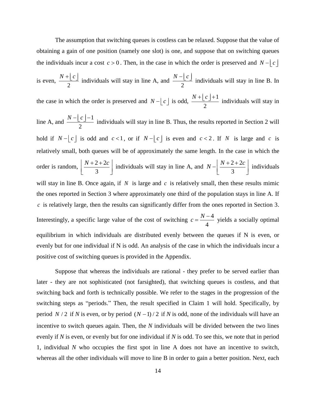The assumption that switching queues is costless can be relaxed. Suppose that the value of obtaining a gain of one position (namely one slot) is one, and suppose that on switching queues the individuals incur a cost  $c > 0$ . Then, in the case in which the order is preserved and  $N - \lfloor c \rfloor$ is even, 2  $\frac{N + \lfloor c \rfloor}{\lfloor c \rfloor}$  individuals will stay in line A, and 2  $\frac{N - c}{\cdot}$  individuals will stay in line B. In the case in which the order is preserved and  $N - \lfloor c \rfloor$  is odd, 1 2  $\frac{N + [c] + 1}{\cdot}$  individuals will stay in line A, and 1 2  $\frac{N - \lfloor c \rfloor - 1}{\lfloor c \rfloor}$  individuals will stay in line B. Thus, the results reported in Section 2 will hold if  $N - \lfloor c \rfloor$  is odd and  $c < 1$ , or if  $N - \lfloor c \rfloor$  is even and  $c < 2$ . If N is large and c is relatively small, both queues will be of approximately the same length. In the case in which the order is random,  $\left( \frac{N+2+2}{2} \right)$ 3  $N+2+2c$  $\left\lfloor \frac{N+2+2c}{3} \right\rfloor$  individuals will stay in line A, and  $N - \left\lfloor \frac{N+2+2}{3} \right\rfloor$ 3  $N - \left( \frac{N + 2 + 2c}{\epsilon} \right)$  i  $-\left[\frac{iv+2+2c}{3}\right]$  individuals will stay in line B. Once again, if  $N$  is large and  $c$  is relatively small, then these results mimic the ones reported in Section 3 where approximately one third of the population stays in line A. If *c* is relatively large, then the results can significantly differ from the ones reported in Section 3. Interestingly, a specific large value of the cost of switching  $c = \frac{N-4}{N}$ 4  $c = \frac{N-4}{N}$  yields a socially optimal equilibrium in which individuals are distributed evenly between the queues if N is even, or evenly but for one individual if N is odd. An analysis of the case in which the individuals incur a positive cost of switching queues is provided in the Appendix.

Suppose that whereas the individuals are rational - they prefer to be served earlier than later - they are not sophisticated (not farsighted), that switching queues is costless, and that switching back and forth is technically possible. We refer to the stages in the progression of the switching steps as "periods." Then, the result specified in Claim 1 will hold. Specifically, by period  $N/2$  if *N* is even, or by period  $(N-1)/2$  if *N* is odd, none of the individuals will have an incentive to switch queues again. Then, the *N* individuals will be divided between the two lines evenly if *N* is even, or evenly but for one individual if *N* is odd. To see this, we note that in period 1, individual *N* who occupies the first spot in line A does not have an incentive to switch, whereas all the other individuals will move to line B in order to gain a better position. Next, each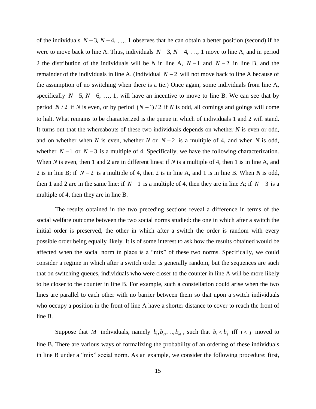of the individuals  $N-3$ ,  $N-4$ , ..., 1 observes that he can obtain a better position (second) if he were to move back to line A. Thus, individuals  $N-3$ ,  $N-4$ , ..., 1 move to line A, and in period 2 the distribution of the individuals will be *N* in line A,  $N-1$  and  $N-2$  in line B, and the remainder of the individuals in line A. (Individual  $N-2$  will not move back to line A because of the assumption of no switching when there is a tie.) Once again, some individuals from line A, specifically  $N-5$ ,  $N-6$ , ..., 1, will have an incentive to move to line B. We can see that by period  $N/2$  if *N* is even, or by period  $(N-1)/2$  if *N* is odd, all comings and goings will come to halt. What remains to be characterized is the queue in which of individuals 1 and 2 will stand. It turns out that the whereabouts of these two individuals depends on whether *N* is even or odd, and on whether when *N* is even, whether *N* or  $N-2$  is a multiple of 4, and when *N* is odd, whether  $N-1$  or  $N-3$  is a multiple of 4. Specifically, we have the following characterization. When *N* is even, then 1 and 2 are in different lines: if *N* is a multiple of 4, then 1 is in line A, and 2 is in line B; if  $N-2$  is a multiple of 4, then 2 is in line A, and 1 is in line B. When N is odd, then 1 and 2 are in the same line: if  $N-1$  is a multiple of 4, then they are in line A; if  $N-3$  is a multiple of 4, then they are in line B.

The results obtained in the two preceding sections reveal a difference in terms of the social welfare outcome between the two social norms studied: the one in which after a switch the initial order is preserved, the other in which after a switch the order is random with every possible order being equally likely. It is of some interest to ask how the results obtained would be affected when the social norm in place is a "mix" of these two norms. Specifically, we could consider a regime in which after a switch order is generally random, but the sequences are such that on switching queues, individuals who were closer to the counter in line A will be more likely to be closer to the counter in line B. For example, such a constellation could arise when the two lines are parallel to each other with no barrier between them so that upon a switch individuals who occupy a position in the front of line A have a shorter distance to cover to reach the front of line B.

Suppose that M individuals, namely  $b_1, b_2, ..., b_M$ , such that  $b_i < b_j$  iff  $i < j$  moved to line B. There are various ways of formalizing the probability of an ordering of these individuals in line B under a "mix" social norm. As an example, we consider the following procedure: first,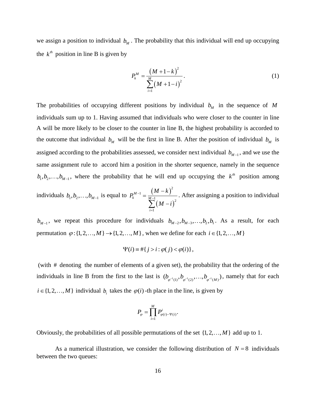we assign a position to individual  $b<sub>M</sub>$ . The probability that this individual will end up occupying the  $k^h$  position in line B is given by

$$
P_k^M = \frac{\left(M + 1 - k\right)^2}{\sum_{i=1}^M \left(M + 1 - i\right)^2}.
$$
 (1)

The probabilities of occupying different positions by individual  $b<sub>M</sub>$  in the sequence of M individuals sum up to 1. Having assumed that individuals who were closer to the counter in line A will be more likely to be closer to the counter in line B, the highest probability is accorded to the outcome that individual  $b_M$  will be the first in line B. After the position of individual  $b_M$  is assigned according to the probabilities assessed, we consider next individual  $b_{M-1}$ , and we use the same assignment rule to accord him a position in the shorter sequence, namely in the sequence  $b_1, b_2, \ldots, b_{M-1}$ , where the probability that he will end up occupying the  $k^{th}$  position among

individuals  $b_1, b_2, ..., b_{M-1}$  is equal to  $P_k^{M-1} = \frac{(M-k)!}{M-1}$  $(M-i)$ 2 1  $\frac{1}{2}$   $(10^{-12})^2$ 1 *M k M i*  $P_k^{M-1} = \frac{(M-k)^M}{M-1}$  $M - i$  $\overline{a}$ - $=$ -=  $\sum$   $(M -$ . After assigning a position to individual

 $b_{M-1}$ , we repeat this procedure for individuals  $b_{M-2}$ ,  $b_{M-3}$ , ...,  $b_2$ ,  $b_1$ . As a result, for each permutation  $\varphi$ : {1, 2, ..., *M*}  $\to$  {1, 2, ..., *M*}, when we define for each  $i \in \{1, 2, ..., M\}$ 

$$
\Psi(i) \equiv #\{j > i : \varphi(j) < \varphi(i)\},
$$

(with # denoting the number of elements of a given set), the probability that the ordering of the individuals in line B from the first to the last is  $(b_{\varphi^{-1}(1)}, b_{\varphi^{-1}(2)},..., b_{\varphi^{-1}(M)})$ , namely that for each  $i \in \{1, 2, ..., M\}$  individual  $b_i$  takes the  $\varphi(i)$ -th place in the line, is given by

$$
P_{\varphi} = \prod_{i=1}^{M} P_{\varphi(i)-\Psi(i)}^{i}.
$$

Obviously, the probabilities of all possible permutations of the set  $\{1, 2, ..., M\}$  add up to 1.

As a numerical illustration, we consider the following distribution of  $N = 8$  individuals between the two queues: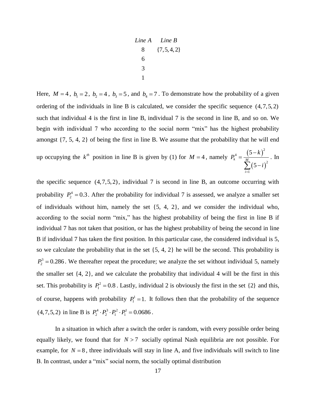8 {7,5,4,2} 6 3 1 *Line A Line B*

Here,  $M = 4$ ,  $b_1 = 2$ ,  $b_2 = 4$ ,  $b_3 = 5$ , and  $b_4 = 7$ . To demonstrate how the probability of a given ordering of the individuals in line B is calculated, we consider the specific sequence (4,7,5,2) such that individual 4 is the first in line B, individual 7 is the second in line B, and so on. We begin with individual 7 who according to the social norm "mix" has the highest probability amongst {7, 5, 4, 2} of being the first in line B. We assume that the probability that he will end

up occupying the  $k^h$  position in line B is given by (1) for  $M = 4$ , namely  $P_k^4 = \frac{(5-k)}{M}$  $(5-i)$ 2 4 2 1 5 5 *k M i k P i* = - $=$  $\sum (5 -$ . In

the specific sequence (4,7,5,2) , individual 7 is second in line B, an outcome occurring with probability  $P_2^4 = 0.3$ . After the probability for individual 7 is assessed, we analyze a smaller set of individuals without him, namely the set {5, 4, 2}, and we consider the individual who, according to the social norm "mix," has the highest probability of being the first in line B if individual 7 has not taken that position, or has the highest probability of being the second in line B if individual 7 has taken the first position. In this particular case, the considered individual is 5, so we calculate the probability that in the set  $\{5, 4, 2\}$  he will be the second. This probability is  $P_2^3 = 0.286$ . We thereafter repeat the procedure; we analyze the set without individual 5, namely the smaller set  $\{4, 2\}$ , and we calculate the probability that individual 4 will be the first in this set. This probability is  $P_1^2 = 0.8$ . Lastly, individual 2 is obviously the first in the set  $\{2\}$  and this, of course, happens with probability  $P_1^1 = 1$ . It follows then that the probability of the sequence (4,7,5,2) in line B is  $P_2^4 \cdot P_2^3 \cdot P_1^2 \cdot P_1^1 = 0.0686$ .

In a situation in which after a switch the order is random, with every possible order being equally likely, we found that for  $N > 7$  socially optimal Nash equilibria are not possible. For example, for  $N = 8$ , three individuals will stay in line A, and five individuals will switch to line B. In contrast, under a "mix" social norm, the socially optimal distribution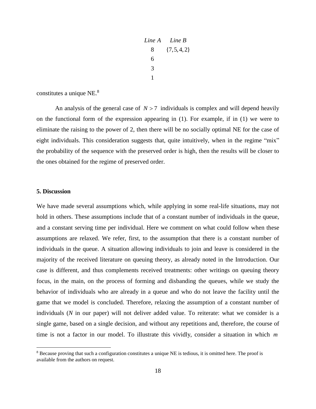8  $\{7,5,4,2\}$ 6 3 1 *Line A Line B*

constitutes a unique NE. 8

An analysis of the general case of  $N > 7$  individuals is complex and will depend heavily on the functional form of the expression appearing in (1). For example, if in (1) we were to eliminate the raising to the power of 2, then there will be no socially optimal NE for the case of eight individuals. This consideration suggests that, quite intuitively, when in the regime "mix" the probability of the sequence with the preserved order is high, then the results will be closer to the ones obtained for the regime of preserved order.

# **5. Discussion**

 $\overline{a}$ 

We have made several assumptions which, while applying in some real-life situations, may not hold in others. These assumptions include that of a constant number of individuals in the queue, and a constant serving time per individual. Here we comment on what could follow when these assumptions are relaxed. We refer, first, to the assumption that there is a constant number of individuals in the queue. A situation allowing individuals to join and leave is considered in the majority of the received literature on queuing theory, as already noted in the Introduction. Our case is different, and thus complements received treatments: other writings on queuing theory focus, in the main, on the process of forming and disbanding the queues, while we study the behavior of individuals who are already in a queue and who do not leave the facility until the game that we model is concluded. Therefore, relaxing the assumption of a constant number of individuals (*N* in our paper) will not deliver added value. To reiterate: what we consider is a single game, based on a single decision, and without any repetitions and, therefore, the course of time is not a factor in our model. To illustrate this vividly, consider a situation in which *m*

<sup>&</sup>lt;sup>8</sup> Because proving that such a configuration constitutes a unique NE is tedious, it is omitted here. The proof is available from the authors on request.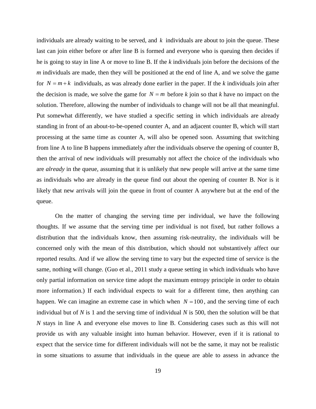individuals are already waiting to be served, and  $k$  individuals are about to join the queue. These last can join either before or after line B is formed and everyone who is queuing then decides if he is going to stay in line A or move to line B. If the *k* individuals join before the decisions of the *m* individuals are made, then they will be positioned at the end of line A, and we solve the game for  $N = m + k$  individuals, as was already done earlier in the paper. If the *k* individuals join after the decision is made, we solve the game for  $N = m$  before k join so that k have no impact on the solution. Therefore, allowing the number of individuals to change will not be all that meaningful. Put somewhat differently, we have studied a specific setting in which individuals are already standing in front of an about-to-be-opened counter A, and an adjacent counter B, which will start processing at the same time as counter A, will also be opened soon. Assuming that switching from line A to line B happens immediately after the individuals observe the opening of counter B, then the arrival of new individuals will presumably not affect the choice of the individuals who are *already* in the queue, assuming that it is unlikely that new people will arrive at the same time as individuals who are already in the queue find out about the opening of counter B. Nor is it likely that new arrivals will join the queue in front of counter A anywhere but at the end of the queue.

On the matter of changing the serving time per individual, we have the following thoughts. If we assume that the serving time per individual is not fixed, but rather follows a distribution that the individuals know, then assuming risk-neutrality, the individuals will be concerned only with the mean of this distribution, which should not substantively affect our reported results. And if we allow the serving time to vary but the expected time of service is the same, nothing will change. (Guo et al., 2011 study a queue setting in which individuals who have only partial information on service time adopt the maximum entropy principle in order to obtain more information.) If each individual expects to wait for a different time, then anything can happen. We can imagine an extreme case in which when  $N = 100$ , and the serving time of each individual but of *N* is 1 and the serving time of individual *N* is 500, then the solution will be that *N* stays in line A and everyone else moves to line B. Considering cases such as this will not provide us with any valuable insight into human behavior. However, even if it is rational to expect that the service time for different individuals will not be the same, it may not be realistic in some situations to assume that individuals in the queue are able to assess in advance the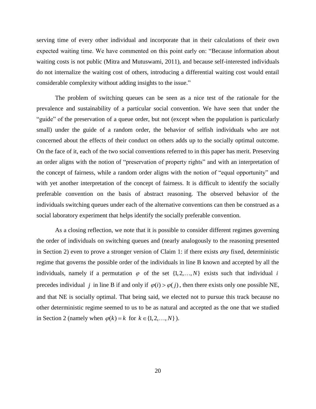serving time of every other individual and incorporate that in their calculations of their own expected waiting time. We have commented on this point early on: "Because information about waiting costs is not public (Mitra and Mutuswami, 2011), and because self-interested individuals do not internalize the waiting cost of others, introducing a differential waiting cost would entail considerable complexity without adding insights to the issue."

The problem of switching queues can be seen as a nice test of the rationale for the prevalence and sustainability of a particular social convention. We have seen that under the "guide" of the preservation of a queue order, but not (except when the population is particularly small) under the guide of a random order, the behavior of selfish individuals who are not concerned about the effects of their conduct on others adds up to the socially optimal outcome. On the face of it, each of the two social conventions referred to in this paper has merit. Preserving an order aligns with the notion of "preservation of property rights" and with an interpretation of the concept of fairness, while a random order aligns with the notion of "equal opportunity" and with yet another interpretation of the concept of fairness. It is difficult to identify the socially preferable convention on the basis of abstract reasoning. The observed behavior of the individuals switching queues under each of the alternative conventions can then be construed as a social laboratory experiment that helps identify the socially preferable convention.

As a closing reflection, we note that it is possible to consider different regimes governing the order of individuals on switching queues and (nearly analogously to the reasoning presented in Section 2) even to prove a stronger version of Claim 1: if there exists *any* fixed, deterministic regime that governs the possible order of the individuals in line B known and accepted by all the individuals, namely if a permutation  $\varphi$  of the set  $\{1, 2, ..., N\}$  exists such that individual *i* precedes individual j in line B if and only if  $\varphi(i) > \varphi(j)$ , then there exists only one possible NE, and that NE is socially optimal. That being said, we elected not to pursue this track because no other deterministic regime seemed to us to be as natural and accepted as the one that we studied in Section 2 (namely when  $\varphi(k) = k$  for  $k \in \{1, 2, ..., N\}$ ).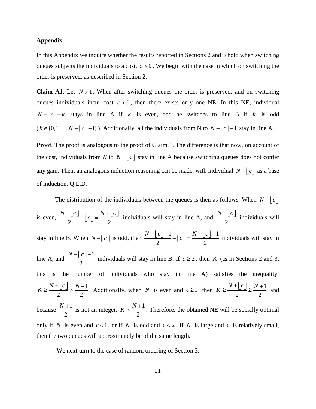# **Appendix**

In this Appendix we inquire whether the results reported in Sections 2 and 3 hold when switching queues subjects the individuals to a cost,  $c > 0$ . We begin with the case in which on switching the order is preserved, as described in Section 2.

**Claim A1**. Let  $N > 1$ . When after switching queues the order is preserved, and on switching queues individuals incur cost  $c > 0$ , then there exists only one NE. In this NE, individual  $N - \lfloor c \rfloor - k$  stays in line A if k is even, and he switches to line B if k is odd  $(k \in \{0, 1, ..., N - \lfloor c \rfloor - 1\})$ . Additionally, all the individuals from N to  $N - \lfloor c \rfloor + 1$  stay in line A.

**Proof**. The proof is analogous to the proof of Claim 1. The difference is that now, on account of the cost, individuals from *N* to  $N - \lfloor c \rfloor$  stay in line A because switching queues does not confer any gain. Then, an analogous induction reasoning can be made, with individual  $N - \lfloor c \rfloor$  as a base of induction. Q.E.D.

The distribution of the individuals between the queues is then as follows. When  $N - \lfloor c \rfloor$ is even,  $\frac{1}{2} + c = \frac{1}{2}$  $\frac{N - |c|}{2} + |c| = \frac{N + |c|}{2}$  individuals will stay in line A, and 2  $\frac{N - c}{2}$  individuals will stay in line B. When  $N - \lfloor c \rfloor$  is odd, then  $\frac{N - \lfloor c \rfloor + 1}{2} + \lfloor c \rfloor = \frac{N + \lfloor c \rfloor + 1}{2}$  $\frac{c}{2} + \lfloor c \rfloor = \frac{N + \lfloor c \rfloor}{2}$  $\frac{N - \lfloor c \rfloor + 1}{2} + \lfloor c \rfloor = \frac{N + \lfloor c \rfloor + 1}{2}$  individuals will stay in line A, and 1 2  $\frac{N - \lfloor c \rfloor - 1}{\lfloor c \rfloor}$  individuals will stay in line B. If  $c \ge 2$ , then *K* (as in Sections 2 and 3, this is the number of individuals who stay in line A) satisfies the inequality: 1  $\frac{2}{2}$  >  $\frac{2}{2}$  $K \geq \frac{N + \lfloor c \rfloor}{2} > \frac{N + 1}{2}$ . Additionally, when *N* is even and  $c \geq 1$ , then  $K \geq \frac{N + \lfloor c \rfloor}{2} \geq \frac{N + 1}{2}$  $\frac{2}{2}$   $\frac{2}{2}$  $K \geq \frac{N + \lfloor c \rfloor}{\sqrt{c}} \geq \frac{N + 1}{\sqrt{c}}$  and because  $\frac{N+1}{N}$ 2  $\frac{N+1}{N}$  is not an integer,  $K > \frac{N+1}{N}$ 2  $K > \frac{N+1}{2}$ . Therefore, the obtained NE will be socially optimal only if N is even and  $c < 1$ , or if N is odd and  $c < 2$ . If N is large and c is relatively small, then the two queues will approximately be of the same length.

We next turn to the case of random ordering of Section 3.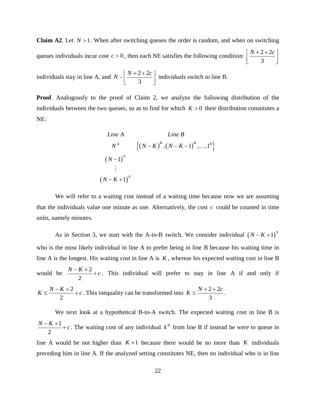**Claim A2**. Let  $N > 1$ . When after switching queues the order is random, and when on switching queues individuals incur cost  $c > 0$ , then each NE satisfies the following condition:  $\left| \frac{N+2+2}{N-2} \right|$ 3  $N+2+2c$  $\begin{bmatrix} 3 \end{bmatrix}$ 

individuals stay in line A, and  $N - \frac{N+2+2}{2}$ 3  $N - \left( \frac{N + 2 + 2c}{2} \right)$  if  $-\left[\frac{N+2+2c}{3}\right]$  individuals switch to line B.

**Proof**. Analogously to the proof of Claim 2, we analyze the following distribution of the individuals between the two queues, so as to find for which  $K > 0$  their distribution constitutes a NE:

Line A  
\n
$$
N^A
$$
 { $(N-K)^B$ ,  $(N-K-1)^B$ ,..., $1^B$ }  
\n $(N-1)^A$   
\n:  
\n $(N-K+1)^A$ 

We will refer to a waiting cost instead of a waiting time because now we are assuming that the individuals value one minute as one. Alternatively, the cost  $c$  could be counted in time units, namely minutes.

As in Section 3, we start with the A-to-B switch. We consider individual  $(N - K + 1)^A$ who is the most likely individual in line A to prefer being in line B because his waiting time in line A is the longest. His waiting cost in line A is *K* , whereas his expected waiting cost in line B would be  $\frac{N-K+2}{\epsilon}$ 2  $\frac{N-K+2}{2}$  + c. This individual will prefer to stay in line A if and only if 2 2  $K \leq \frac{N-K+2}{2} + c$ . This inequality can be transformed into  $K \leq \frac{N+2+2}{2}$ 3  $K \leq \frac{N+2+2c}{2}$ .

We next look at a hypothetical B-to-A switch. The expected waiting cost in line B is 1 2  $\frac{N-K+1}{2}$  + c. The waiting cost of any individual  $k^B$  from line B if instead he were to queue in line A would be not higher than  $K+1$  because there would be no more than K individuals preceding him in line A. If the analyzed setting constitutes NE, then no individual who is in line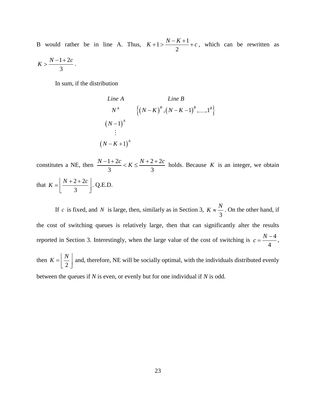B would rather be in line A. Thus,  $K+1 > \frac{N-K+1}{2}$ 2  $K+1 > \frac{N-K+1}{2} + c$ , which can be rewritten as  $1 + 2$  $-1+2$ 

$$
K > \frac{N-1+2c}{3}.
$$

In sum, if the distribution

Line A  
\nLine A  
\n
$$
N^A
$$
 { $(N-K)^B$ ,  $(N-K-1)^B$ ,..., $1^B$ }  
\n $(N-1)^A$   
\n:  
\n $(N-K+1)^A$ 

constitutes a NE, then  $\frac{N-1+2c}{2} < K \leq \frac{N+2+2}{2}$  $\frac{1+2c}{3} < K \leq \frac{1+2c}{3}$  $\frac{N-1+2c}{2} < K \leq \frac{N+2+2c}{2}$  holds. Because *K* is an integer, we obtain that  $K = \frac{N+2+2}{2}$ 3  $K = \left( \frac{N+2+2c}{2} \right)$ .  $=\left[\frac{N+2+2c}{3}\right]$ . Q.E.D.

If  $c$  is fixed, and  $N$  is large, then, similarly as in Section 3, 3  $K \approx \frac{N}{2}$ . On the other hand, if the cost of switching queues is relatively large, then that can significantly alter the results reported in Section 3. Interestingly, when the large value of the cost of switching is  $c = \frac{N-4}{N}$ 4  $c = \frac{N-4}{r}$ , then 2  $K = \left\lfloor \frac{N}{2} \right\rfloor$  and, therefore, NE will be socially optimal, with the individuals distributed evenly

between the queues if *N* is even, or evenly but for one individual if *N* is odd.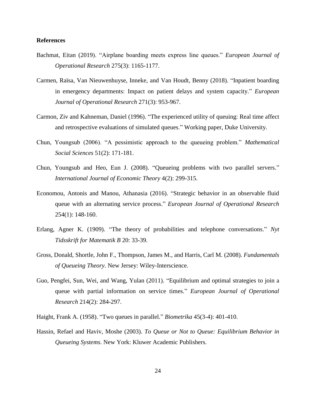# **References**

- Bachmat, Eitan (2019). "Airplane boarding meets express line queues." *European Journal of Operational Research* 275(3): 1165-1177.
- Carmen, Raïsa, Van Nieuwenhuyse, Inneke, and Van Houdt, Benny (2018). "Inpatient boarding in emergency departments: Impact on patient delays and system capacity." *European Journal of Operational Research* 271(3): 953-967.
- Carmon, Ziv and Kahneman, Daniel (1996). "The experienced utility of queuing: Real time affect and retrospective evaluations of simulated queues." Working paper, Duke University.
- Chun, Youngsub (2006). "A pessimistic approach to the queueing problem." *Mathematical Social Sciences* 51(2): 171-181.
- Chun, Youngsub and Heo, Eun J. (2008). "Queueing problems with two parallel servers." *International Journal of Economic Theory* 4(2): 299-315.
- Economou, Antonis and Manou, Athanasia (2016). "Strategic behavior in an observable fluid queue with an alternating service process." *European Journal of Operational Research* 254(1): 148-160.
- Erlang, Agner K. (1909). "The theory of probabilities and telephone conversations." *Nyt Tidsskrift for Matematik B* 20: 33-39.
- Gross, Donald, Shortle, John F., Thompson, James M., and Harris, Carl M. (2008). *Fundamentals of Queueing Theory*. New Jersey: Wiley-Interscience.
- Guo, Pengfei, Sun, Wei, and Wang, Yulan (2011). "Equilibrium and optimal strategies to join a queue with partial information on service times." *European Journal of Operational Research* 214(2): 284-297.
- Haight, Frank A. (1958). "Two queues in parallel." *Biometrika* 45(3-4): 401-410.
- Hassin, Refael and [Haviv,](https://link.springer.com/search?facet-creator=%22Moshe+Haviv%22) Moshe (2003). *To Queue or Not to Queue: Equilibrium Behavior in Queueing Systems*. New York: Kluwer Academic Publishers.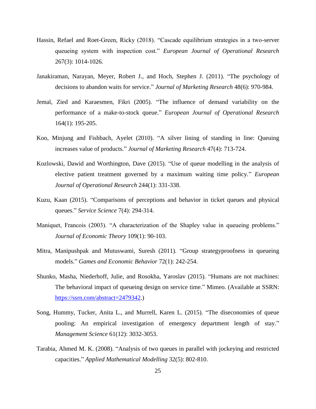- Hassin, Refael and Roet-Green, Ricky (2018). "Cascade equilibrium strategies in a two-server queueing system with inspection cost." *European Journal of Operational Research* 267(3): 1014-1026.
- Janakiraman, Narayan, Meyer, Robert J., and Hoch, Stephen J. (2011). "The psychology of decisions to abandon waits for service." *Journal of Marketing Research* 48(6): 970-984.
- Jemaı̈, Zied and Karaesmen, Fikri (2005). "The influence of demand variability on the performance of a make-to-stock queue." *European Journal of Operational Research* 164(1): 195-205.
- Koo, Minjung and Fishbach, Ayelet (2010). "A silver lining of standing in line: Queuing increases value of products." *Journal of Marketing Research* 47(4): 713-724.
- Kozlowski, Dawid and Worthington, Dave (2015). "Use of queue modelling in the analysis of elective patient treatment governed by a maximum waiting time policy." *European Journal of Operational Research* 244(1): 331-338.
- Kuzu, Kaan (2015). "Comparisons of perceptions and behavior in ticket queues and physical queues." *Service Science* 7(4): 294-314.
- Maniquet, Francois (2003). "A characterization of the Shapley value in queueing problems." *Journal of Economic Theory* 109(1): 90-103.
- Mitra, Manipushpak and Mutuswami, Suresh (2011). "Group strategyproofness in queueing models." *Games and Economic Behavior* 72(1): 242-254.
- Shunko, Masha, Niederhoff, Julie, and Rosokha, Yaroslav (2015). "Humans are not machines: The behavioral impact of queueing design on service time." Mimeo. (Available at SSRN: [https://ssrn.com/abstract=2479342.](https://ssrn.com/abstract=2479342))
- Song, Hummy, Tucker, Anita L., and Murrell, Karen L. (2015). "The diseconomies of queue pooling: An empirical investigation of emergency department length of stay." *Management Science* 61(12): 3032-3053.
- Tarabia, Ahmed M. K. (2008). "Analysis of two queues in parallel with jockeying and restricted capacities." *Applied Mathematical Modelling* 32(5): 802-810.